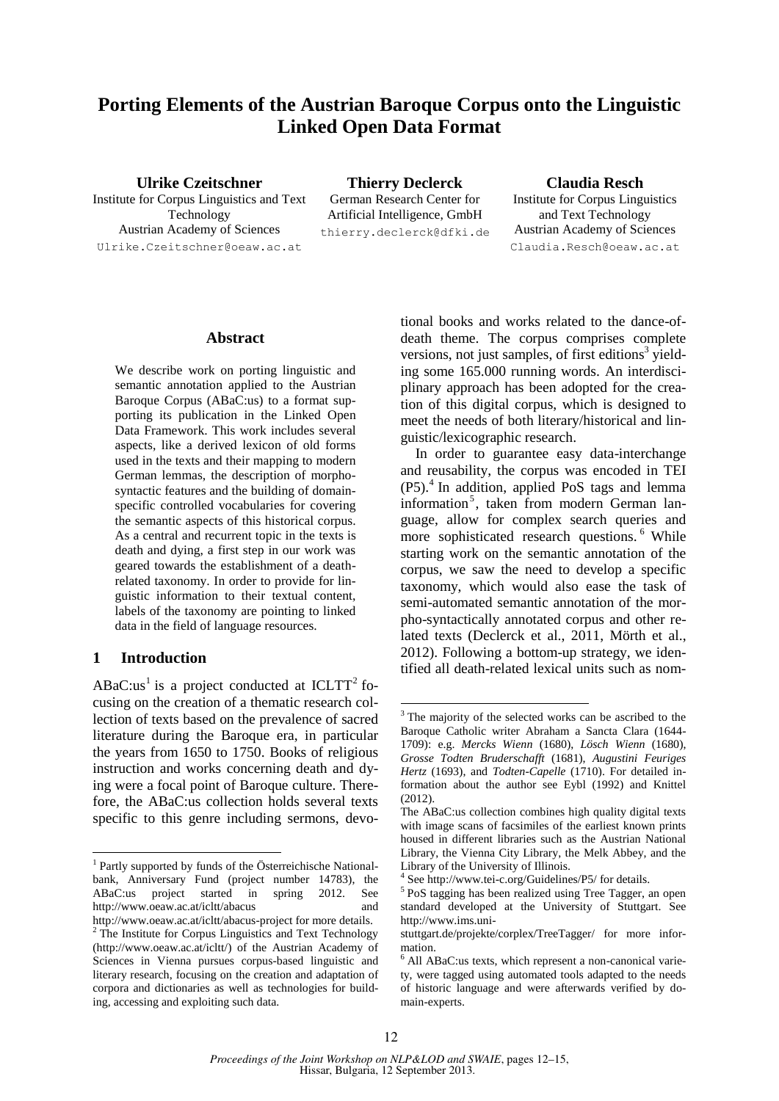# **Porting Elements of the Austrian Baroque Corpus onto the Linguistic Linked Open Data Format**

**Ulrike Czeitschner** Institute for Corpus Linguistics and Text Technology Austrian Academy of Sciences Ulrike.Czeitschner@oeaw.ac.at

**Thierry Declerck** German Research Center for Artificial Intelligence, GmbH thierry.declerck@dfki.de

**Claudia Resch** Institute for Corpus Linguistics and Text Technology Austrian Academy of Sciences Claudia.Resch@oeaw.ac.at

#### **Abstract**

We describe work on porting linguistic and semantic annotation applied to the Austrian Baroque Corpus (ABaC:us) to a format supporting its publication in the Linked Open Data Framework. This work includes several aspects, like a derived lexicon of old forms used in the texts and their mapping to modern German lemmas, the description of morphosyntactic features and the building of domainspecific controlled vocabularies for covering the semantic aspects of this historical corpus. As a central and recurrent topic in the texts is death and dying, a first step in our work was geared towards the establishment of a deathrelated taxonomy. In order to provide for linguistic information to their textual content, labels of the taxonomy are pointing to linked data in the field of language resources.

#### **1 Introduction**

ABaC:us<sup>1</sup> is a project conducted at ICLTT<sup>2</sup> focusing on the creation of a thematic research collection of texts based on the prevalence of sacred literature during the Baroque era, in particular the years from 1650 to 1750. Books of religious instruction and works concerning death and dying were a focal point of Baroque culture. Therefore, the ABaC:us collection holds several texts specific to this genre including sermons, devotional books and works related to the dance-ofdeath theme. The corpus comprises complete versions, not just samples, of first editions<sup>3</sup> yielding some 165.000 running words. An interdisciplinary approach has been adopted for the creation of this digital corpus, which is designed to meet the needs of both literary/historical and linguistic/lexicographic research.

In order to guarantee easy data-interchange and reusability, the corpus was encoded in TEI (P5).<sup>4</sup> In addition, applied PoS tags and lemma information 5 , taken from modern German language, allow for complex search queries and more sophisticated research questions. <sup>6</sup> While starting work on the semantic annotation of the corpus, we saw the need to develop a specific taxonomy, which would also ease the task of semi-automated semantic annotation of the morpho-syntactically annotated corpus and other related texts (Declerck et al., 2011, Mörth et al., 2012). Following a bottom-up strategy, we identified all death-related lexical units such as nom-

<sup>1</sup> Partly supported by funds of the Österreichische Nationalbank, Anniversary Fund (project number 14783), the ABaC:us project started in spring 2012. See http://www.oeaw.ac.at/icltt/abacus and http://www.oeaw.ac.at/icltt/abacus-project for more details.

<sup>&</sup>lt;sup>2</sup> The Institute for Corpus Linguistics and Text Technology (http://www.oeaw.ac.at/icltt/) of the Austrian Academy of Sciences in Vienna pursues corpus-based linguistic and literary research, focusing on the creation and adaptation of corpora and dictionaries as well as technologies for building, accessing and exploiting such data.

<sup>3</sup> The majority of the selected works can be ascribed to the Baroque Catholic writer Abraham a Sancta Clara (1644- 1709): e.g. *Mercks Wienn* (1680), *Lösch Wienn* (1680), *Grosse Todten Bruderschafft* (1681), *Augustini Feuriges Hertz* (1693), and *Todten-Capelle* (1710). For detailed information about the author see Eybl (1992) and Knittel (2012).

The ABaC:us collection combines high quality digital texts with image scans of facsimiles of the earliest known prints housed in different libraries such as the Austrian National Library, the Vienna City Library, the Melk Abbey, and the Library of the University of Illinois.

<sup>4</sup> See http://www.tei-c.org/Guidelines/P5/ for details.

<sup>5</sup> PoS tagging has been realized using Tree Tagger, an open standard developed at the University of Stuttgart. See http://www.ims.uni-

stuttgart.de/projekte/corplex/TreeTagger/ for more information.

<sup>6</sup> All ABaC:us texts, which represent a non-canonical variety, were tagged using automated tools adapted to the needs of historic language and were afterwards verified by domain-experts.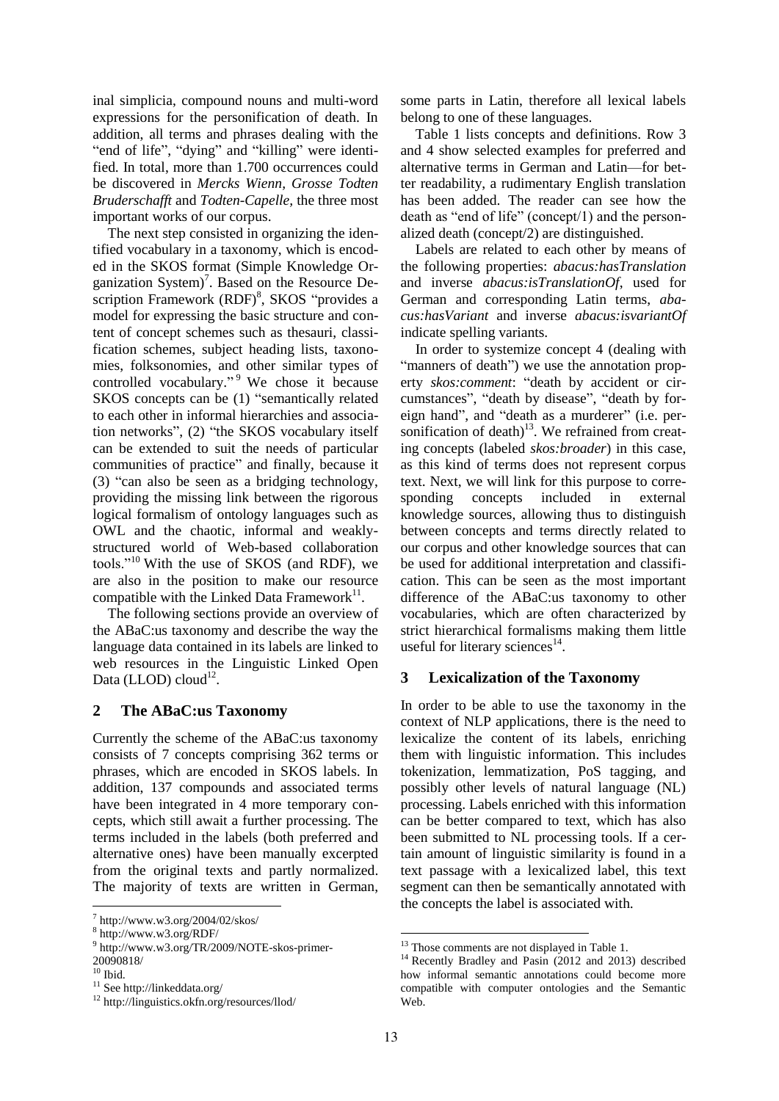inal simplicia, compound nouns and multi-word expressions for the personification of death. In addition, all terms and phrases dealing with the "end of life", "dying" and "killing" were identified. In total, more than 1.700 occurrences could be discovered in *Mercks Wienn, Grosse Todten Bruderschafft* and *Todten-Capelle,* the three most important works of our corpus.

The next step consisted in organizing the identified vocabulary in a taxonomy, which is encoded in the SKOS format (Simple Knowledge Organization System)<sup>7</sup>. Based on the Resource Description Framework (RDF)<sup>8</sup>, SKOS "provides a model for expressing the basic structure and content of concept schemes such as thesauri, classification schemes, subject heading lists, taxonomies, folksonomies, and other similar types of controlled vocabulary." <sup>9</sup> We chose it because SKOS concepts can be (1) "semantically related to each other in informal hierarchies and association networks", (2) "the SKOS vocabulary itself can be extended to suit the needs of particular communities of practice" and finally, because it (3) "can also be seen as a bridging technology, providing the missing link between the rigorous logical formalism of ontology languages such as OWL and the chaotic, informal and weaklystructured world of Web-based collaboration tools."<sup>10</sup> With the use of SKOS (and RDF), we are also in the position to make our resource compatible with the Linked Data Framework $^{11}$ .

The following sections provide an overview of the ABaC:us taxonomy and describe the way the language data contained in its labels are linked to web resources in the Linguistic Linked Open Data (LLOD) cloud $^{12}$ .

#### **2 The ABaC:us Taxonomy**

Currently the scheme of the ABaC:us taxonomy consists of 7 concepts comprising 362 terms or phrases, which are encoded in SKOS labels. In addition, 137 compounds and associated terms have been integrated in 4 more temporary concepts, which still await a further processing. The terms included in the labels (both preferred and alternative ones) have been manually excerpted from the original texts and partly normalized. The majority of texts are written in German,

some parts in Latin, therefore all lexical labels belong to one of these languages.

Table 1 lists concepts and definitions. Row 3 and 4 show selected examples for preferred and alternative terms in German and Latin—for better readability, a rudimentary English translation has been added. The reader can see how the death as "end of life" (concept/1) and the personalized death (concept/2) are distinguished.

Labels are related to each other by means of the following properties: *abacus:hasTranslation* and inverse *abacus:isTranslationOf*, used for German and corresponding Latin terms, *abacus:hasVariant* and inverse *abacus:isvariantOf* indicate spelling variants.

In order to systemize concept 4 (dealing with "manners of death") we use the annotation property *skos:comment*: "death by accident or circumstances", "death by disease", "death by foreign hand", and "death as a murderer" (i.e. personification of death) $^{13}$ . We refrained from creating concepts (labeled *skos:broader*) in this case, as this kind of terms does not represent corpus text. Next, we will link for this purpose to corresponding concepts included in external knowledge sources, allowing thus to distinguish between concepts and terms directly related to our corpus and other knowledge sources that can be used for additional interpretation and classification. This can be seen as the most important difference of the ABaC:us taxonomy to other vocabularies, which are often characterized by strict hierarchical formalisms making them little useful for literary sciences $^{14}$ .

#### **3 Lexicalization of the Taxonomy**

In order to be able to use the taxonomy in the context of NLP applications, there is the need to lexicalize the content of its labels, enriching them with linguistic information. This includes tokenization, lemmatization, PoS tagging, and possibly other levels of natural language (NL) processing. Labels enriched with this information can be better compared to text, which has also been submitted to NL processing tools. If a certain amount of linguistic similarity is found in a text passage with a lexicalized label, this text segment can then be semantically annotated with the concepts the label is associated with.

 $^7$  http://www.w3.org/2004/02/skos/

<sup>8</sup> http://www.w3.org/RDF/

<sup>9</sup> http://www.w3.org/TR/2009/NOTE-skos-primer-20090818/

 $10$  Ibid.

<sup>&</sup>lt;sup>11</sup> See http://linkeddata.org/ <sup>12</sup> http://linguistics.okfn.org/resources/llod/

<sup>&</sup>lt;sup>13</sup> Those comments are not displayed in Table 1.

<sup>&</sup>lt;sup>14</sup> Recently Bradley and Pasin (2012 and 2013) described how informal semantic annotations could become more compatible with computer ontologies and the Semantic Web.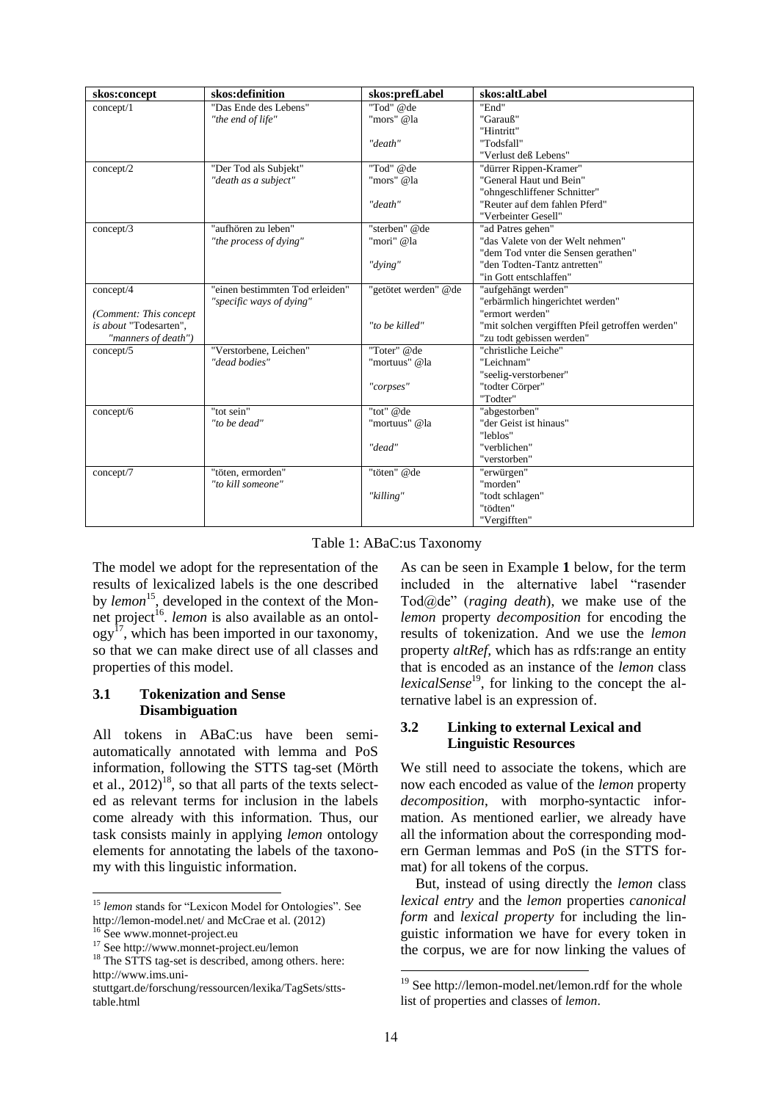| skos:concept           | skos:definition                 | skos:prefLabel       | skos:altLabel                                   |
|------------------------|---------------------------------|----------------------|-------------------------------------------------|
| concept/1              | "Das Ende des Lebens"           | "Tod" @de            | "End"                                           |
|                        | "the end of life"               | "mors" @la           | "Garauß"                                        |
|                        |                                 |                      | "Hintritt"                                      |
|                        |                                 | "death"              | "Todsfall"                                      |
|                        |                                 |                      | "Verlust deß Lebens"                            |
| concept/2              | "Der Tod als Subjekt"           | "Tod" @de            | "dürrer Rippen-Kramer"                          |
|                        | "death as a subject"            | "mors" @la           | "General Haut und Bein"                         |
|                        |                                 |                      | "ohngeschliffener Schnitter"                    |
|                        |                                 | "death"              | "Reuter auf dem fahlen Pferd"                   |
|                        |                                 |                      | "Verbeinter Gesell"                             |
| concept/3              | "aufhören zu leben"             | "sterben" @de        | "ad Patres gehen"                               |
|                        | "the process of dying"          | "mori" @la           | "das Valete von der Welt nehmen"                |
|                        |                                 |                      | "dem Tod vnter die Sensen gerathen"             |
|                        |                                 | "dying"              | "den Todten-Tantz antretten"                    |
|                        |                                 |                      | "in Gott entschlaffen"                          |
| concept/4              | "einen bestimmten Tod erleiden" | "getötet werden" @de | "aufgehängt werden"                             |
|                        | "specific ways of dying"        |                      | "erbärmlich hingerichtet werden"                |
| (Comment: This concept |                                 |                      | "ermort werden"                                 |
| is about "Todesarten", |                                 | "to be killed"       | "mit solchen vergifften Pfeil getroffen werden" |
| "manners of death")    |                                 |                      | "zu todt gebissen werden"                       |
| concept/5              | "Verstorbene, Leichen"          | "Toter" @de          | "christliche Leiche"                            |
|                        | "dead bodies"                   | "mortuus" @la        | "Leichnam"                                      |
|                        |                                 |                      | "seelig-verstorbener"                           |
|                        |                                 | "corpses"            | "todter Cörper"                                 |
|                        |                                 |                      | "Todter"                                        |
| concept/6              | "tot sein"                      | "tot" @de            | "abgestorben"                                   |
|                        | "to be dead"                    | "mortuus" @la        | "der Geist ist hinaus"                          |
|                        |                                 |                      | "leblos"                                        |
|                        |                                 | "dead"               | "verblichen"                                    |
|                        |                                 |                      | "verstorben"                                    |
| concept/7              | "töten, ermorden"               | "töten" @de          | "erwürgen"                                      |
|                        | "to kill someone"               |                      | "morden"                                        |
|                        |                                 | "killing"            | "todt schlagen"                                 |
|                        |                                 |                      | "tödten"                                        |
|                        |                                 |                      | "Vergifften"                                    |

Table 1: ABaC:us Taxonomy

The model we adopt for the representation of the results of lexicalized labels is the one described by *lemon*<sup>15</sup>, developed in the context of the Monnet project<sup>16</sup>. *lemon* is also available as an ontol- $\alpha$ <sub>0</sub>  $\alpha$ <sup>17</sup>, which has been imported in our taxonomy, so that we can make direct use of all classes and properties of this model.

#### **3.1 Tokenization and Sense Disambiguation**

All tokens in ABaC:us have been semiautomatically annotated with lemma and PoS information, following the STTS tag-set (Mörth et al.,  $2012$ <sup>18</sup>, so that all parts of the texts selected as relevant terms for inclusion in the labels come already with this information. Thus, our task consists mainly in applying *lemon* ontology elements for annotating the labels of the taxonomy with this linguistic information.

As can be seen in Example **1** below, for the term included in the alternative label "rasender Tod@de" (*raging death*), we make use of the *lemon* property *decomposition* for encoding the results of tokenization. And we use the *lemon* property *altRef,* which has as rdfs:range an entity that is encoded as an instance of the *lemon* class lexicalSense<sup>19</sup>, for linking to the concept the alternative label is an expression of.

## **3.2 Linking to external Lexical and Linguistic Resources**

We still need to associate the tokens, which are now each encoded as value of the *lemon* property *decomposition*, with morpho-syntactic information. As mentioned earlier, we already have all the information about the corresponding modern German lemmas and PoS (in the STTS format) for all tokens of the corpus.

But, instead of using directly the *lemon* class *lexical entry* and the *lemon* properties *canonical form* and *lexical property* for including the linguistic information we have for every token in the corpus, we are for now linking the values of

 <sup>15</sup> *lemon* stands for "Lexicon Model for Ontologies". See http://lemon-model.net/ and McCrae et al. (2012)

<sup>&</sup>lt;sup>16</sup> See www.monnet-project.eu

<sup>&</sup>lt;sup>17</sup> See http://www.monnet-project.eu/lemon

<sup>&</sup>lt;sup>18</sup> The STTS tag-set is described, among others. here: http://www.ims.uni-

stuttgart.de/forschung/ressourcen/lexika/TagSets/sttstable.html

<sup>19</sup> See http://lemon-model.net/lemon.rdf for the whole list of properties and classes of *lemon*.